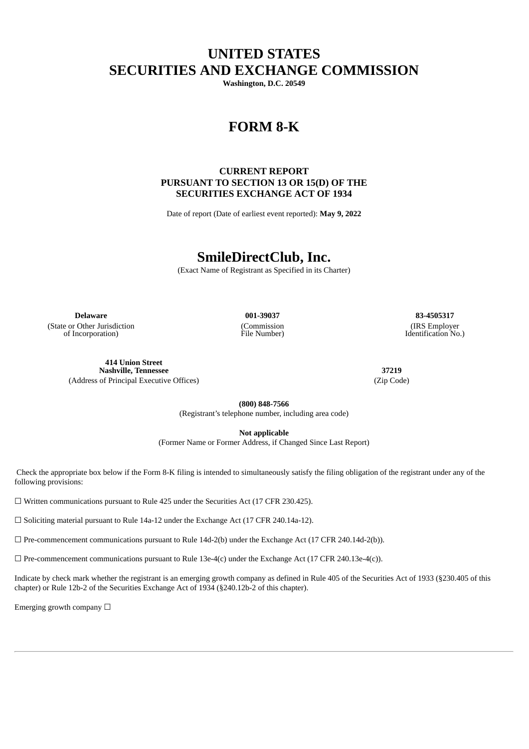# **UNITED STATES SECURITIES AND EXCHANGE COMMISSION**

**Washington, D.C. 20549**

# **FORM 8-K**

# **CURRENT REPORT PURSUANT TO SECTION 13 OR 15(D) OF THE SECURITIES EXCHANGE ACT OF 1934**

Date of report (Date of earliest event reported): **May 9, 2022**

# **SmileDirectClub, Inc.**

(Exact Name of Registrant as Specified in its Charter)

(State or Other Jurisdiction of Incorporation)

(Commission File Number)

**Delaware 001-39037 83-4505317**

(IRS Employer Identification No.)

**414 Union Street Nashville, Tennessee 37219** (Address of Principal Executive Offices) (Zip Code)

**(800) 848-7566** (Registrant's telephone number, including area code)

**Not applicable**

(Former Name or Former Address, if Changed Since Last Report)

Check the appropriate box below if the Form 8-K filing is intended to simultaneously satisfy the filing obligation of the registrant under any of the following provisions:

☐ Written communications pursuant to Rule 425 under the Securities Act (17 CFR 230.425).

☐ Soliciting material pursuant to Rule 14a-12 under the Exchange Act (17 CFR 240.14a-12).

 $\Box$  Pre-commencement communications pursuant to Rule 14d-2(b) under the Exchange Act (17 CFR 240.14d-2(b)).

 $\Box$  Pre-commencement communications pursuant to Rule 13e-4(c) under the Exchange Act (17 CFR 240.13e-4(c)).

Indicate by check mark whether the registrant is an emerging growth company as defined in Rule 405 of the Securities Act of 1933 (§230.405 of this chapter) or Rule 12b-2 of the Securities Exchange Act of 1934 (§240.12b-2 of this chapter).

Emerging growth company  $\Box$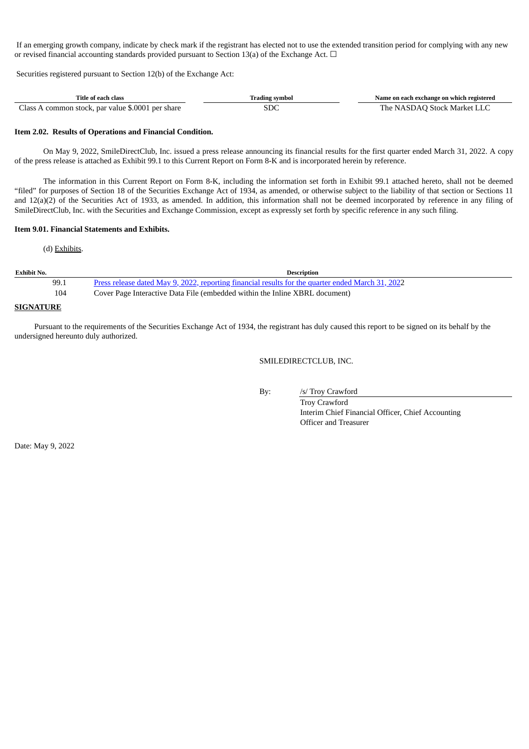If an emerging growth company, indicate by check mark if the registrant has elected not to use the extended transition period for complying with any new or revised financial accounting standards provided pursuant to Section 13(a) of the Exchange Act.  $\Box$ 

Securities registered pursuant to Section 12(b) of the Exchange Act:

| Title of each class                               | rading symbol. | Name on each exchange on which registered |  |  |
|---------------------------------------------------|----------------|-------------------------------------------|--|--|
| Class A common stock, par value \$.0001 per share | טעכ            | The NASDAO Stock Market LLC               |  |  |

#### **Item 2.02. Results of Operations and Financial Condition.**

On May 9, 2022, SmileDirectClub, Inc. issued a press release announcing its financial results for the first quarter ended March 31, 2022. A copy of the press release is attached as Exhibit 99.1 to this Current Report on Form 8-K and is incorporated herein by reference.

The information in this Current Report on Form 8-K, including the information set forth in Exhibit 99.1 attached hereto, shall not be deemed "filed" for purposes of Section 18 of the Securities Exchange Act of 1934, as amended, or otherwise subject to the liability of that section or Sections 11 and  $12(a)(2)$  of the Securities Act of 1933, as amended. In addition, this information shall not be deemed incorporated by reference in any filing of SmileDirectClub, Inc. with the Securities and Exchange Commission, except as expressly set forth by specific reference in any such filing.

#### **Item 9.01. Financial Statements and Exhibits.**

(d) Exhibits.

| <b>Exhibit No.</b> | <b>Description</b>                                                                                       |  |
|--------------------|----------------------------------------------------------------------------------------------------------|--|
| 99.1               | <u>Press release dated May 9, 2022, reporting financial results for the quarter ended March 31, 2022</u> |  |
|                    | 104<br>Cover Page Interactive Data File (embedded within the Inline XBRL document)                       |  |
|                    |                                                                                                          |  |

## **SIGNATURE**

Pursuant to the requirements of the Securities Exchange Act of 1934, the registrant has duly caused this report to be signed on its behalf by the undersigned hereunto duly authorized.

#### SMILEDIRECTCLUB, INC.

By: /s/ Troy Crawford

Troy Crawford Interim Chief Financial Officer, Chief Accounting Officer and Treasurer

Date: May 9, 2022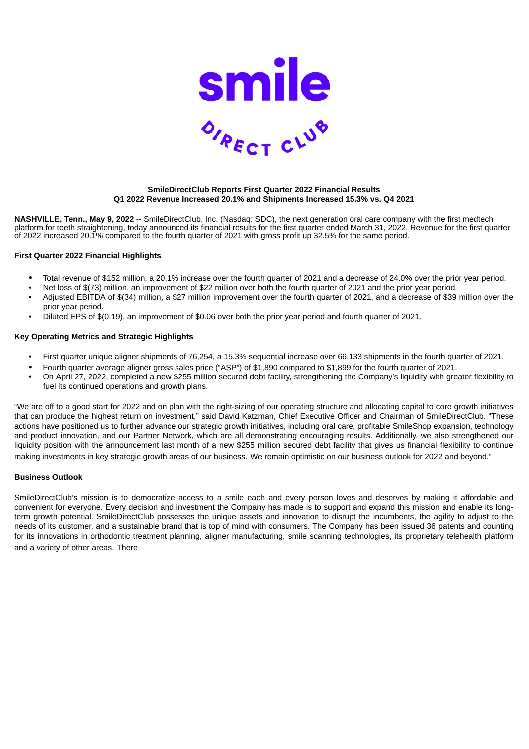<span id="page-2-0"></span>

## **SmileDirectClub Reports First Quarter 2022 Financial Results Q1 2022 Revenue Increased 20.1% and Shipments Increased 15.3% vs. Q4 2021**

**NASHVILLE, Tenn., May 9, 2022** -- SmileDirectClub, Inc. (Nasdaq: SDC), the next generation oral care company with the first medtech platform for teeth straightening, today announced its financial results for the first quarter ended March 31, 2022. Revenue for the first quarter of 2022 increased 20.1% compared to the fourth quarter of 2021 with gross profit up 32.5% for the same period.

## **First Quarter 2022 Financial Highlights**

- **•** Total revenue of \$152 million, a 20.1% increase over the fourth quarter of 2021 and a decrease of 24.0% over the prior year period.
- Net loss of \$(73) million, an improvement of \$22 million over both the fourth quarter of 2021 and the prior year period.
- Adjusted EBITDA of \$(34) million, a \$27 million improvement over the fourth quarter of 2021, and a decrease of \$39 million over the prior year period.
- Diluted EPS of \$(0.19), an improvement of \$0.06 over both the prior year period and fourth quarter of 2021.

## **Key Operating Metrics and Strategic Highlights**

- First quarter unique aligner shipments of 76,254, a 15.3% sequential increase over 66,133 shipments in the fourth quarter of 2021.
- Fourth quarter average aligner gross sales price ("ASP") of \$1,890 compared to \$1,899 for the fourth quarter of 2021.
- On April 27, 2022, completed a new \$255 million secured debt facility, strengthening the Company's liquidity with greater flexibility to fuel its continued operations and growth plans.

"We are off to a good start for 2022 and on plan with the right-sizing of our operating structure and allocating capital to core growth initiatives that can produce the highest return on investment," said David Katzman, Chief Executive Officer and Chairman of SmileDirectClub. "These actions have positioned us to further advance our strategic growth initiatives, including oral care, profitable SmileShop expansion, technology and product innovation, and our Partner Network, which are all demonstrating encouraging results. Additionally, we also strengthened our liquidity position with the announcement last month of a new \$255 million secured debt facility that gives us financial flexibility to continue making investments in key strategic growth areas of our business. We remain optimistic on our business outlook for 2022 and beyond."

## **Business Outlook**

SmileDirectClub's mission is to democratize access to a smile each and every person loves and deserves by making it affordable and convenient for everyone. Every decision and investment the Company has made is to support and expand this mission and enable its longterm growth potential. SmileDirectClub possesses the unique assets and innovation to disrupt the incumbents, the agility to adjust to the needs of its customer, and a sustainable brand that is top of mind with consumers. The Company has been issued 36 patents and counting for its innovations in orthodontic treatment planning, aligner manufacturing, smile scanning technologies, its proprietary telehealth platform and a variety of other areas. There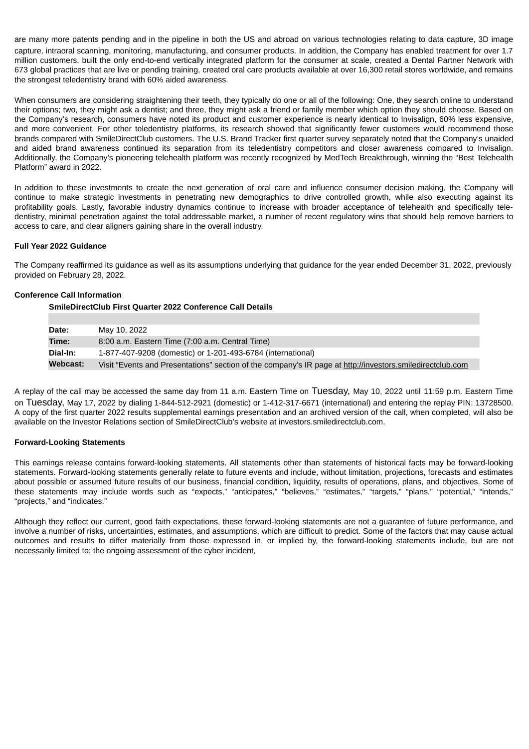are many more patents pending and in the pipeline in both the US and abroad on various technologies relating to data capture, 3D image capture, intraoral scanning, monitoring, manufacturing, and consumer products. In addition, the Company has enabled treatment for over 1.7 million customers, built the only end-to-end vertically integrated platform for the consumer at scale, created a Dental Partner Network with 673 global practices that are live or pending training, created oral care products available at over 16,300 retail stores worldwide, and remains the strongest teledentistry brand with 60% aided awareness.

When consumers are considering straightening their teeth, they typically do one or all of the following: One, they search online to understand their options; two, they might ask a dentist; and three, they might ask a friend or family member which option they should choose. Based on the Company's research, consumers have noted its product and customer experience is nearly identical to Invisalign, 60% less expensive, and more convenient. For other teledentistry platforms, its research showed that significantly fewer customers would recommend those brands compared with SmileDirectClub customers. The U.S. Brand Tracker first quarter survey separately noted that the Company's unaided and aided brand awareness continued its separation from its teledentistry competitors and closer awareness compared to Invisalign. Additionally, the Company's pioneering telehealth platform was recently recognized by MedTech Breakthrough, winning the "Best Telehealth Platform" award in 2022.

In addition to these investments to create the next generation of oral care and influence consumer decision making, the Company will continue to make strategic investments in penetrating new demographics to drive controlled growth, while also executing against its profitability goals. Lastly, favorable industry dynamics continue to increase with broader acceptance of telehealth and specifically teledentistry, minimal penetration against the total addressable market, a number of recent regulatory wins that should help remove barriers to access to care, and clear aligners gaining share in the overall industry.

## **Full Year 2022 Guidance**

The Company reaffirmed its guidance as well as its assumptions underlying that guidance for the year ended December 31, 2022, previously provided on February 28, 2022.

## **Conference Call Information**

## **SmileDirectClub First Quarter 2022 Conference Call Details**

| <b>Date:</b>    | May 10, 2022                                                                                              |
|-----------------|-----------------------------------------------------------------------------------------------------------|
| Time:           | 8:00 a.m. Eastern Time (7:00 a.m. Central Time)                                                           |
| <b>Dial-In:</b> | 1-877-407-9208 (domestic) or 1-201-493-6784 (international)                                               |
| <b>Webcast:</b> | Visit "Events and Presentations" section of the company's IR page at http://investors.smiledirectclub.com |

A replay of the call may be accessed the same day from 11 a.m. Eastern Time on Tuesday, May 10, 2022 until 11:59 p.m. Eastern Time on Tuesday, May 17, 2022 by dialing 1-844-512-2921 (domestic) or 1-412-317-6671 (international) and entering the replay PIN: 13728500. A copy of the first quarter 2022 results supplemental earnings presentation and an archived version of the call, when completed, will also be available on the Investor Relations section of SmileDirectClub's website at investors.smiledirectclub.com.

## **Forward-Looking Statements**

This earnings release contains forward-looking statements. All statements other than statements of historical facts may be forward-looking statements. Forward-looking statements generally relate to future events and include, without limitation, projections, forecasts and estimates about possible or assumed future results of our business, financial condition, liquidity, results of operations, plans, and objectives. Some of these statements may include words such as "expects," "anticipates," "believes," "estimates," "targets," "plans," "potential," "intends," "projects," and "indicates."

Although they reflect our current, good faith expectations, these forward-looking statements are not a guarantee of future performance, and involve a number of risks, uncertainties, estimates, and assumptions, which are difficult to predict. Some of the factors that may cause actual outcomes and results to differ materially from those expressed in, or implied by, the forward-looking statements include, but are not necessarily limited to: the ongoing assessment of the cyber incident,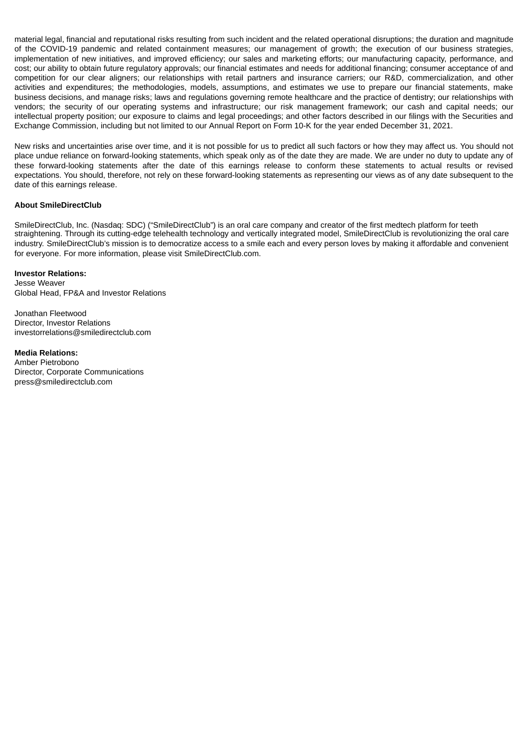material legal, financial and reputational risks resulting from such incident and the related operational disruptions; the duration and magnitude of the COVID-19 pandemic and related containment measures; our management of growth; the execution of our business strategies, implementation of new initiatives, and improved efficiency; our sales and marketing efforts; our manufacturing capacity, performance, and cost; our ability to obtain future regulatory approvals; our financial estimates and needs for additional financing; consumer acceptance of and competition for our clear aligners; our relationships with retail partners and insurance carriers; our R&D, commercialization, and other activities and expenditures; the methodologies, models, assumptions, and estimates we use to prepare our financial statements, make business decisions, and manage risks; laws and regulations governing remote healthcare and the practice of dentistry; our relationships with vendors; the security of our operating systems and infrastructure; our risk management framework; our cash and capital needs; our intellectual property position; our exposure to claims and legal proceedings; and other factors described in our filings with the Securities and Exchange Commission, including but not limited to our Annual Report on Form 10-K for the year ended December 31, 2021.

New risks and uncertainties arise over time, and it is not possible for us to predict all such factors or how they may affect us. You should not place undue reliance on forward-looking statements, which speak only as of the date they are made. We are under no duty to update any of these forward-looking statements after the date of this earnings release to conform these statements to actual results or revised expectations. You should, therefore, not rely on these forward-looking statements as representing our views as of any date subsequent to the date of this earnings release.

## **About SmileDirectClub**

SmileDirectClub, Inc. (Nasdaq: SDC) ("SmileDirectClub") is an oral care company and creator of the first medtech platform for teeth straightening. Through its cutting-edge telehealth technology and vertically integrated model, SmileDirectClub is revolutionizing the oral care industry. SmileDirectClub's mission is to democratize access to a smile each and every person loves by making it affordable and convenient for everyone. For more information, please visit SmileDirectClub.com.

## **Investor Relations:**

Jesse Weaver Global Head, FP&A and Investor Relations

Jonathan Fleetwood Director, Investor Relations investorrelations@smiledirectclub.com

## **Media Relations:**

Amber Pietrobono Director, Corporate Communications press@smiledirectclub.com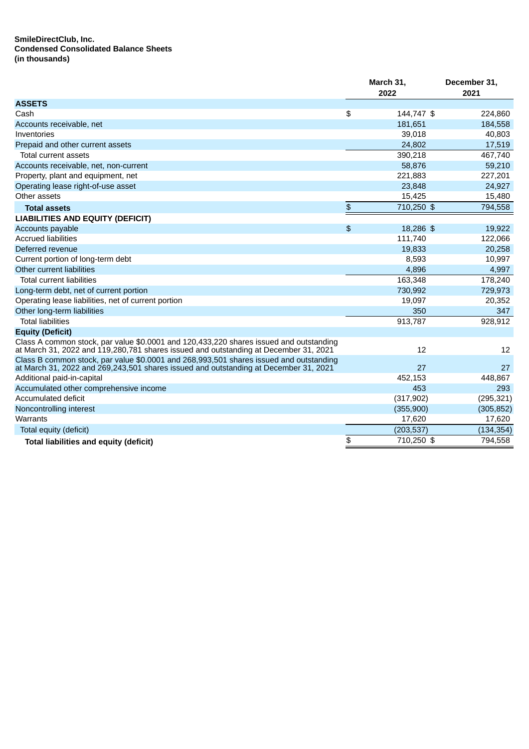## **SmileDirectClub, Inc. Condensed Consolidated Balance Sheets (in thousands)**

|                                                                                                                                                                                |               | March 31,  | December 31, |
|--------------------------------------------------------------------------------------------------------------------------------------------------------------------------------|---------------|------------|--------------|
|                                                                                                                                                                                |               | 2022       | 2021         |
| <b>ASSETS</b>                                                                                                                                                                  |               |            |              |
| Cash                                                                                                                                                                           | \$            | 144,747 \$ | 224,860      |
| Accounts receivable, net                                                                                                                                                       |               | 181,651    | 184,558      |
| Inventories                                                                                                                                                                    |               | 39,018     | 40,803       |
| Prepaid and other current assets                                                                                                                                               |               | 24,802     | 17,519       |
| <b>Total current assets</b>                                                                                                                                                    |               | 390,218    | 467,740      |
| Accounts receivable, net, non-current                                                                                                                                          |               | 58,876     | 59,210       |
| Property, plant and equipment, net                                                                                                                                             |               | 221,883    | 227,201      |
| Operating lease right-of-use asset                                                                                                                                             |               | 23,848     | 24,927       |
| Other assets                                                                                                                                                                   |               | 15,425     | 15,480       |
| <b>Total assets</b>                                                                                                                                                            | \$            | 710,250 \$ | 794,558      |
| <b>LIABILITIES AND EQUITY (DEFICIT)</b>                                                                                                                                        |               |            |              |
| Accounts payable                                                                                                                                                               | $\frac{1}{2}$ | 18,286 \$  | 19,922       |
| <b>Accrued liabilities</b>                                                                                                                                                     |               | 111,740    | 122,066      |
| Deferred revenue                                                                                                                                                               |               | 19,833     | 20,258       |
| Current portion of long-term debt                                                                                                                                              |               | 8,593      | 10,997       |
| Other current liabilities                                                                                                                                                      |               | 4,896      | 4,997        |
| <b>Total current liabilities</b>                                                                                                                                               |               | 163,348    | 178,240      |
| Long-term debt, net of current portion                                                                                                                                         |               | 730,992    | 729,973      |
| Operating lease liabilities, net of current portion                                                                                                                            |               | 19,097     | 20,352       |
| Other long-term liabilities                                                                                                                                                    |               | 350        | 347          |
| <b>Total liabilities</b>                                                                                                                                                       |               | 913,787    | 928,912      |
| <b>Equity (Deficit)</b>                                                                                                                                                        |               |            |              |
| Class A common stock, par value \$0.0001 and 120,433,220 shares issued and outstanding<br>at March 31, 2022 and 119,280,781 shares issued and outstanding at December 31, 2021 |               | 12         | 12           |
| Class B common stock, par value \$0.0001 and 268,993,501 shares issued and outstanding<br>at March 31, 2022 and 269,243,501 shares issued and outstanding at December 31, 2021 |               | 27         | 27           |
| Additional paid-in-capital                                                                                                                                                     |               | 452,153    | 448,867      |
| Accumulated other comprehensive income                                                                                                                                         |               | 453        | 293          |
| <b>Accumulated deficit</b>                                                                                                                                                     |               | (317,902)  | (295, 321)   |
| Noncontrolling interest                                                                                                                                                        |               | (355,900)  | (305, 852)   |
| Warrants                                                                                                                                                                       |               | 17,620     | 17,620       |
| Total equity (deficit)                                                                                                                                                         |               | (203, 537) | (134, 354)   |
| Total liabilities and equity (deficit)                                                                                                                                         | \$            | 710,250 \$ | 794,558      |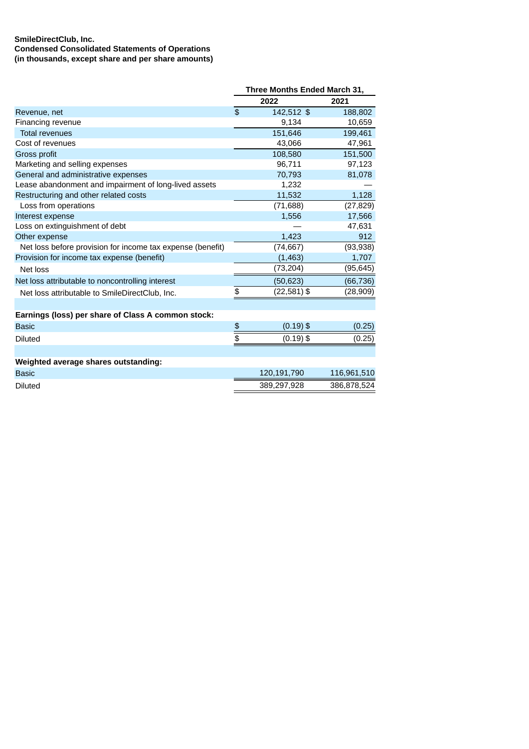## **SmileDirectClub, Inc.**

**Condensed Consolidated Statements of Operations (in thousands, except share and per share amounts)**

|                                                            | Three Months Ended March 31, |             |             |  |
|------------------------------------------------------------|------------------------------|-------------|-------------|--|
|                                                            |                              | 2022        | 2021        |  |
| Revenue, net                                               | $\mathfrak{P}$               | 142,512 \$  | 188,802     |  |
| Financing revenue                                          |                              | 9,134       | 10,659      |  |
| <b>Total revenues</b>                                      |                              | 151.646     | 199,461     |  |
| Cost of revenues                                           |                              | 43,066      | 47,961      |  |
| <b>Gross profit</b>                                        |                              | 108,580     | 151,500     |  |
| Marketing and selling expenses                             |                              | 96,711      | 97,123      |  |
| General and administrative expenses                        |                              | 70,793      | 81,078      |  |
| Lease abandonment and impairment of long-lived assets      |                              | 1.232       |             |  |
| Restructuring and other related costs                      |                              | 11,532      | 1,128       |  |
| Loss from operations                                       |                              | (71, 688)   | (27, 829)   |  |
| Interest expense                                           |                              | 1,556       | 17,566      |  |
| Loss on extinguishment of debt                             |                              |             | 47,631      |  |
| Other expense                                              |                              | 1,423       | 912         |  |
| Net loss before provision for income tax expense (benefit) |                              | (74, 667)   | (93, 938)   |  |
| Provision for income tax expense (benefit)                 |                              | (1, 463)    | 1,707       |  |
| Net loss                                                   |                              | (73, 204)   | (95, 645)   |  |
| Net loss attributable to noncontrolling interest           |                              | (50, 623)   | (66, 736)   |  |
| Net loss attributable to SmileDirectClub, Inc.             | \$                           | (22,581) \$ | (28, 909)   |  |
|                                                            |                              |             |             |  |
| Earnings (loss) per share of Class A common stock:         |                              |             |             |  |
| <b>Basic</b>                                               | $\boldsymbol{\hat{\tau}}$    | $(0.19)$ \$ | (0.25)      |  |
| <b>Diluted</b>                                             | \$                           | $(0.19)$ \$ | (0.25)      |  |
|                                                            |                              |             |             |  |
| Weighted average shares outstanding:                       |                              |             |             |  |
| <b>Basic</b>                                               |                              | 120,191,790 | 116,961,510 |  |
| <b>Diluted</b>                                             |                              | 389,297,928 | 386,878,524 |  |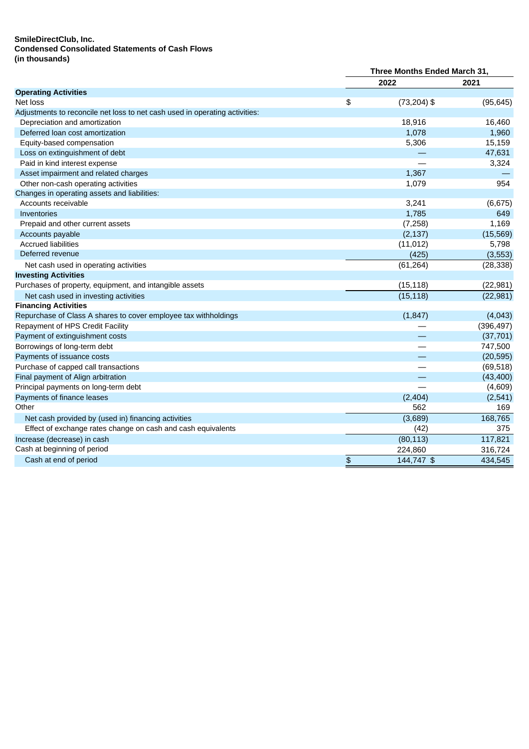## **SmileDirectClub, Inc.**

#### **Condensed Consolidated Statements of Cash Flows (in thousands)**

|                                                                             | Three Months Ended March 31, |                |            |
|-----------------------------------------------------------------------------|------------------------------|----------------|------------|
|                                                                             |                              | 2022           | 2021       |
| <b>Operating Activities</b>                                                 |                              |                |            |
| Net loss                                                                    | \$                           | $(73, 204)$ \$ | (95, 645)  |
| Adjustments to reconcile net loss to net cash used in operating activities: |                              |                |            |
| Depreciation and amortization                                               |                              | 18,916         | 16,460     |
| Deferred loan cost amortization                                             |                              | 1,078          | 1,960      |
| Equity-based compensation                                                   |                              | 5,306          | 15,159     |
| Loss on extinguishment of debt                                              |                              |                | 47,631     |
| Paid in kind interest expense                                               |                              |                | 3,324      |
| Asset impairment and related charges                                        |                              | 1,367          |            |
| Other non-cash operating activities                                         |                              | 1,079          | 954        |
| Changes in operating assets and liabilities:                                |                              |                |            |
| Accounts receivable                                                         |                              | 3,241          | (6, 675)   |
| Inventories                                                                 |                              | 1,785          | 649        |
| Prepaid and other current assets                                            |                              | (7, 258)       | 1,169      |
| Accounts payable                                                            |                              | (2, 137)       | (15, 569)  |
| <b>Accrued liabilities</b>                                                  |                              | (11, 012)      | 5,798      |
| Deferred revenue                                                            |                              | (425)          | (3, 553)   |
| Net cash used in operating activities                                       |                              | (61, 264)      | (28, 338)  |
| <b>Investing Activities</b>                                                 |                              |                |            |
| Purchases of property, equipment, and intangible assets                     |                              | (15, 118)      | (22, 981)  |
| Net cash used in investing activities                                       |                              | (15, 118)      | (22, 981)  |
| <b>Financing Activities</b>                                                 |                              |                |            |
| Repurchase of Class A shares to cover employee tax withholdings             |                              | (1, 847)       | (4,043)    |
| Repayment of HPS Credit Facility                                            |                              |                | (396, 497) |
| Payment of extinguishment costs                                             |                              |                | (37, 701)  |
| Borrowings of long-term debt                                                |                              |                | 747,500    |
| Payments of issuance costs                                                  |                              |                | (20, 595)  |
| Purchase of capped call transactions                                        |                              |                | (69, 518)  |
| Final payment of Align arbitration                                          |                              |                | (43, 400)  |
| Principal payments on long-term debt                                        |                              |                | (4,609)    |
| Payments of finance leases                                                  |                              | (2,404)        | (2, 541)   |
| Other                                                                       |                              | 562            | 169        |
| Net cash provided by (used in) financing activities                         |                              | (3,689)        | 168,765    |
| Effect of exchange rates change on cash and cash equivalents                |                              | (42)           | 375        |
| Increase (decrease) in cash                                                 |                              | (80, 113)      | 117,821    |
| Cash at beginning of period                                                 |                              | 224,860        | 316,724    |
| Cash at end of period                                                       | \$                           | 144,747 \$     | 434,545    |